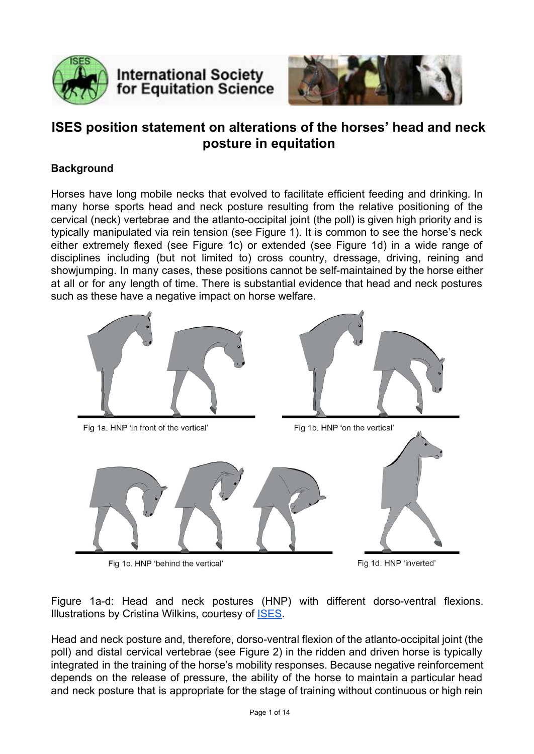

# **International Society** for Equitation Science



## **ISES position statement on alterations of the horses' head and neck posture in equitation**

## **Background**

Horses have long mobile necks that evolved to facilitate efficient feeding and drinking. In many horse sports head and neck posture resulting from the relative positioning of the cervical (neck) vertebrae and the atlanto-occipital joint (the poll) is given high priority and is typically manipulated via rein tension (see Figure 1). It is common to see the horse's neck either extremely flexed (see Figure 1c) or extended (see Figure 1d) in a wide range of disciplines including (but not limited to) cross country, dressage, driving, reining and showjumping. In many cases, these positions cannot be self-maintained by the horse either at all or for any length of time. There is substantial evidence that head and neck postures such as these have a negative impact on horse welfare.



Fig 1c. HNP 'behind the vertical'

Fig 1d. HNP 'inverted'

Figure 1a-d: Head and neck postures (HNP) with different dorso-ventral flexions. Illustrations by Cristina Wilkins, courtesy of [ISES.](http://www.equitationscience.com/)

Head and neck posture and, therefore, dorso-ventral flexion of the atlanto-occipital joint (the poll) and distal cervical vertebrae (see Figure 2) in the ridden and driven horse is typically integrated in the training of the horse's mobility responses. Because negative reinforcement depends on the release of pressure, the ability of the horse to maintain a particular head and neck posture that is appropriate for the stage of training without continuous or high rein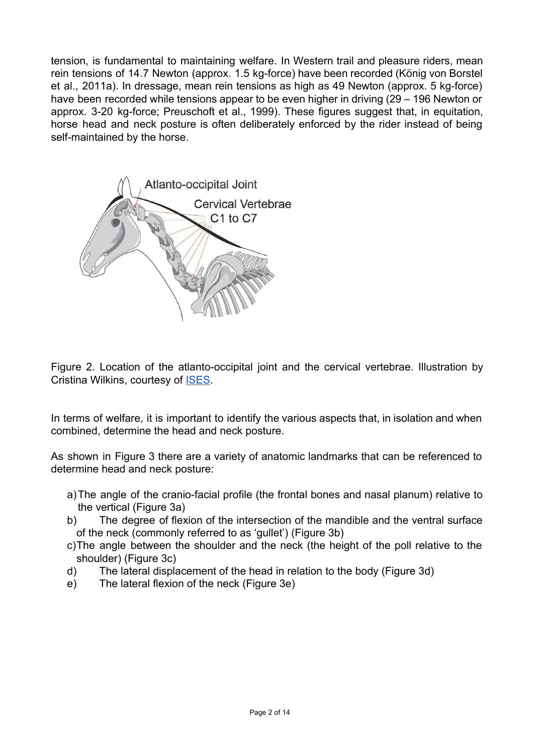tension, is fundamental to maintaining welfare. In Western trail and pleasure riders, mean rein tensions of 14.7 Newton (approx. 1.5 kg-force) have been recorded (König von Borstel et al., 2011a). In dressage, mean rein tensions as high as 49 Newton (approx. 5 kg-force) have been recorded while tensions appear to be even higher in driving (29 – 196 Newton or approx. 3-20 kg-force; Preuschoft et al., 1999). These figures suggest that, in equitation, horse head and neck posture is often deliberately enforced by the rider instead of being self-maintained by the horse.



Figure 2. Location of the atlanto-occipital joint and the cervical vertebrae. Illustration by Cristina Wilkins, courtesy of [ISES.](http://www.equitationscience.com/)

In terms of welfare, it is important to identify the various aspects that, in isolation and when combined, determine the head and neck posture.

As shown in Figure 3 there are a variety of anatomic landmarks that can be referenced to determine head and neck posture:

- a) The angle of the cranio-facial profile (the frontal bones and nasal planum) relative to the vertical (Figure 3a)
- b) The degree of flexion of the intersection of the mandible and the ventral surface of the neck (commonly referred to as 'gullet') (Figure 3b)
- c)The angle between the shoulder and the neck (the height of the poll relative to the shoulder) (Figure 3c)
- d) The lateral displacement of the head in relation to the body (Figure 3d)
- e) The lateral flexion of the neck (Figure 3e)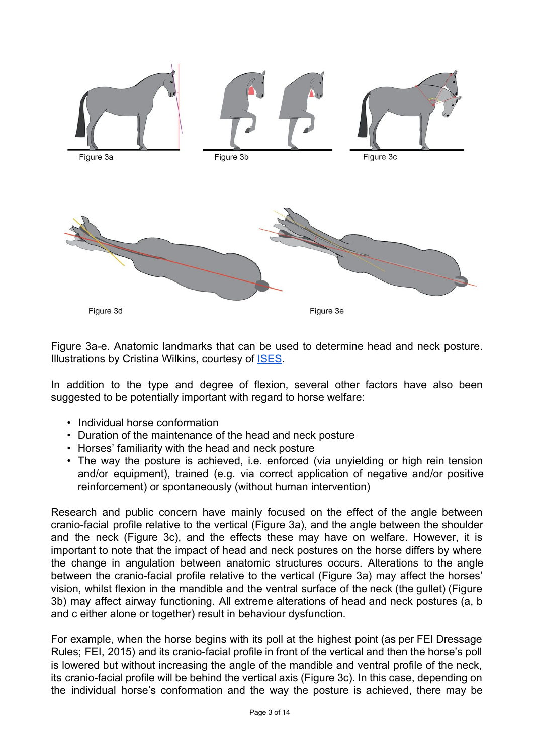

Figure 3a-e. Anatomic landmarks that can be used to determine head and neck posture. Illustrations by Cristina Wilkins, courtesy of **ISES**.

In addition to the type and degree of flexion, several other factors have also been suggested to be potentially important with regard to horse welfare:

- Individual horse conformation
- Duration of the maintenance of the head and neck posture
- Horses' familiarity with the head and neck posture
- The way the posture is achieved, i.e. enforced (via unyielding or high rein tension and/or equipment), trained (e.g. via correct application of negative and/or positive reinforcement) or spontaneously (without human intervention)

Research and public concern have mainly focused on the effect of the angle between cranio-facial profile relative to the vertical (Figure 3a), and the angle between the shoulder and the neck (Figure 3c), and the effects these may have on welfare. However, it is important to note that the impact of head and neck postures on the horse differs by where the change in angulation between anatomic structures occurs. Alterations to the angle between the cranio-facial profile relative to the vertical (Figure 3a) may affect the horses' vision, whilst flexion in the mandible and the ventral surface of the neck (the gullet) (Figure 3b) may affect airway functioning. All extreme alterations of head and neck postures (a, b and c either alone or together) result in behaviour dysfunction.

For example, when the horse begins with its poll at the highest point (as per FEI Dressage Rules; FEI, 2015) and its cranio-facial profile in front of the vertical and then the horse's poll is lowered but without increasing the angle of the mandible and ventral profile of the neck, its cranio-facial profile will be behind the vertical axis (Figure 3c). In this case, depending on the individual horse's conformation and the way the posture is achieved, there may be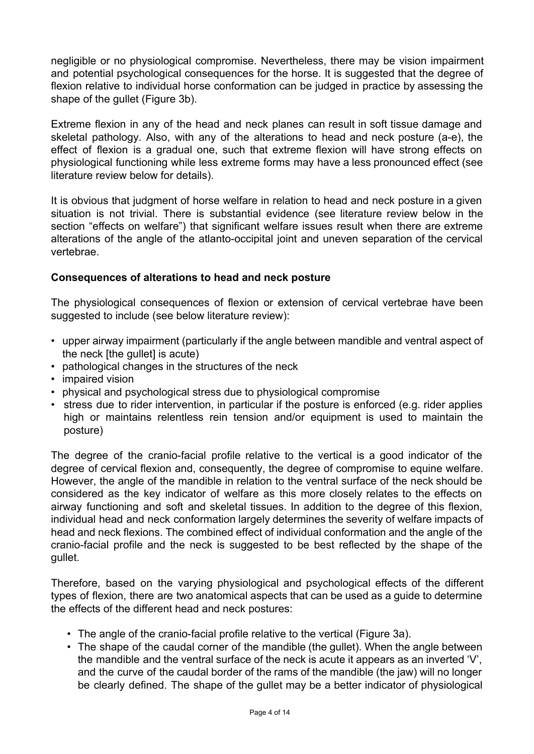negligible or no physiological compromise. Nevertheless, there may be vision impairment and potential psychological consequences for the horse. It is suggested that the degree of flexion relative to individual horse conformation can be judged in practice by assessing the shape of the gullet (Figure 3b).

Extreme flexion in any of the head and neck planes can result in soft tissue damage and skeletal pathology. Also, with any of the alterations to head and neck posture (a-e), the effect of flexion is a gradual one, such that extreme flexion will have strong effects on physiological functioning while less extreme forms may have a less pronounced effect (see literature review below for details).

It is obvious that judgment of horse welfare in relation to head and neck posture in a given situation is not trivial. There is substantial evidence (see literature review below in the section "effects on welfare") that significant welfare issues result when there are extreme alterations of the angle of the atlanto-occipital joint and uneven separation of the cervical vertebrae.

### **Consequences of alterations to head and neck posture**

The physiological consequences of flexion or extension of cervical vertebrae have been suggested to include (see below literature review):

- upper airway impairment (particularly if the angle between mandible and ventral aspect of the neck [the gullet] is acute)
- pathological changes in the structures of the neck
- impaired vision
- physical and psychological stress due to physiological compromise
- stress due to rider intervention, in particular if the posture is enforced (e.g. rider applies high or maintains relentless rein tension and/or equipment is used to maintain the posture)

The degree of the cranio-facial profile relative to the vertical is a good indicator of the degree of cervical flexion and, consequently, the degree of compromise to equine welfare. However, the angle of the mandible in relation to the ventral surface of the neck should be considered as the key indicator of welfare as this more closely relates to the effects on airway functioning and soft and skeletal tissues. In addition to the degree of this flexion, individual head and neck conformation largely determines the severity of welfare impacts of head and neck flexions. The combined effect of individual conformation and the angle of the cranio-facial profile and the neck is suggested to be best reflected by the shape of the gullet.

Therefore, based on the varying physiological and psychological effects of the different types of flexion, there are two anatomical aspects that can be used as a guide to determine the effects of the different head and neck postures:

- The angle of the cranio-facial profile relative to the vertical (Figure 3a).
- The shape of the caudal corner of the mandible (the gullet). When the angle between the mandible and the ventral surface of the neck is acute it appears as an inverted 'V', and the curve of the caudal border of the rams of the mandible (the jaw) will no longer be clearly defined. The shape of the gullet may be a better indicator of physiological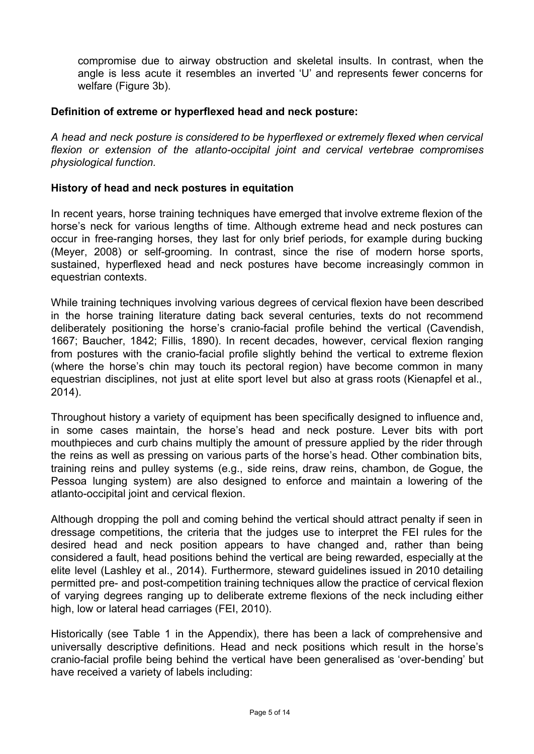compromise due to airway obstruction and skeletal insults. In contrast, when the angle is less acute it resembles an inverted 'U' and represents fewer concerns for welfare (Figure 3b).

#### **Definition of extreme or hyperflexed head and neck posture:**

*A head and neck posture is considered to be hyperflexed or extremely flexed when cervical flexion or extension of the atlanto-occipital joint and cervical vertebrae <i>compromises physiological function.*

#### **History of head and neck postures in equitation**

In recent years, horse training techniques have emerged that involve extreme flexion of the horse's neck for various lengths of time. Although extreme head and neck postures can occur in free-ranging horses, they last for only brief periods, for example during bucking (Meyer, 2008) or self-grooming. In contrast, since the rise of modern horse sports, sustained, hyperflexed head and neck postures have become increasingly common in equestrian contexts.

While training techniques involving various degrees of cervical flexion have been described in the horse training literature dating back several centuries, texts do not recommend deliberately positioning the horse's cranio-facial profile behind the vertical (Cavendish, 1667; Baucher, 1842; Fillis, 1890). In recent decades, however, cervical flexion ranging from postures with the cranio-facial profile slightly behind the vertical to extreme flexion (where the horse's chin may touch its pectoral region) have become common in many equestrian disciplines, not just at elite sport level but also at grass roots (Kienapfel et al., 2014).

Throughout history a variety of equipment has been specifically designed to influence and, in some cases maintain, the horse's head and neck posture. Lever bits with port mouthpieces and curb chains multiply the amount of pressure applied by the rider through the reins as well as pressing on various parts of the horse's head. Other combination bits, training reins and pulley systems (e.g., side reins, draw reins, chambon, de Gogue, the Pessoa lunging system) are also designed to enforce and maintain a lowering of the atlanto-occipital joint and cervical flexion.

Although dropping the poll and coming behind the vertical should attract penalty if seen in dressage competitions, the criteria that the judges use to interpret the FEI rules for the desired head and neck position appears to have changed and, rather than being considered a fault, head positions behind the vertical are being rewarded, especially at the elite level (Lashley et al., 2014). Furthermore, steward guidelines issued in 2010 detailing permitted pre- and post-competition training techniques allow the practice of cervical flexion of varying degrees ranging up to deliberate extreme flexions of the neck including either high, low or lateral head carriages (FEI, 2010).

Historically (see Table 1 in the Appendix), there has been a lack of comprehensive and universally descriptive definitions. Head and neck positions which result in the horse's cranio-facial profile being behind the vertical have been generalised as 'over-bending' but have received a variety of labels including: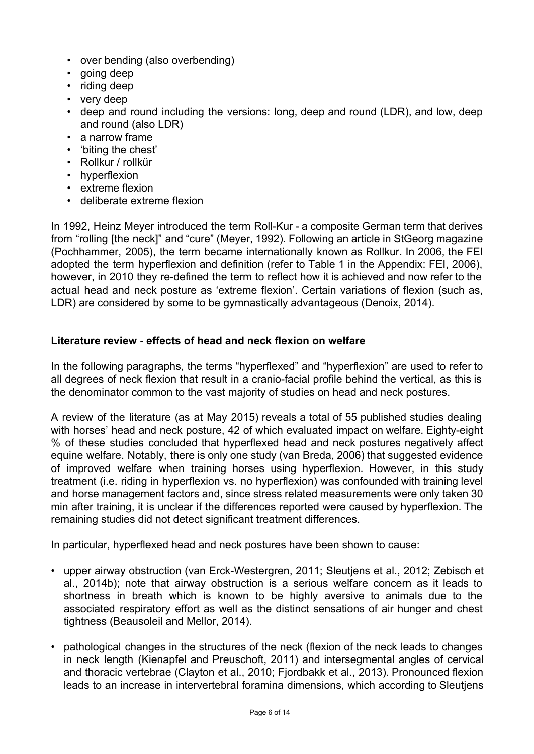- over bending (also overbending)
- going deep
- riding deep
- very deep
- deep and round including the versions: long, deep and round (LDR), and low, deep and round (also LDR)
- a narrow frame
- 'biting the chest'
- Rollkur / rollkür
- hyperflexion
- extreme flexion
- deliberate extreme flexion

In 1992, Heinz Meyer introduced the term Roll-Kur - a composite German term that derives from "rolling [the neck]" and "cure" (Meyer, 1992). Following an article in StGeorg magazine (Pochhammer, 2005), the term became internationally known as Rollkur. In 2006, the FEI adopted the term hyperflexion and definition (refer to Table 1 in the Appendix: FEI, 2006), however, in 2010 they re-defined the term to reflect how it is achieved and now refer to the actual head and neck posture as 'extreme flexion'. Certain variations of flexion (such as, LDR) are considered by some to be gymnastically advantageous (Denoix, 2014).

## **Literature review effects of head and neck flexion on welfare**

In the following paragraphs, the terms "hyperflexed" and "hyperflexion" are used to refer to all degrees of neck flexion that result in a cranio-facial profile behind the vertical, as this is the denominator common to the vast majority of studies on head and neck postures.

A review of the literature (as at May 2015) reveals a total of 55 published studies dealing with horses' head and neck posture, 42 of which evaluated impact on welfare. Eighty-eight % of these studies concluded that hyperflexed head and neck postures negatively affect equine welfare. Notably, there is only one study (van Breda, 2006) that suggested evidence of improved welfare when training horses using hyperflexion. However, in this study treatment (i.e. riding in hyperflexion vs. no hyperflexion) was confounded with training level and horse management factors and, since stress related measurements were only taken 30 min after training, it is unclear if the differences reported were caused by hyperflexion. The remaining studies did not detect significant treatment differences.

In particular, hyperflexed head and neck postures have been shown to cause:

- upper airway obstruction (van Erck-Westergren, 2011; Sleutiens et al., 2012; Zebisch et al., 2014b); note that airway obstruction is a serious welfare concern as it leads to shortness in breath which is known to be highly aversive to animals due to the associated respiratory effort as well as the distinct sensations of air hunger and chest tightness (Beausoleil and Mellor, 2014).
- pathological changes in the structures of the neck (flexion of the neck leads to changes in neck length (Kienapfel and Preuschoft, 2011) and intersegmental angles of cervical and thoracic vertebrae (Clayton et al., 2010; Fjordbakk et al., 2013). Pronounced flexion leads to an increase in intervertebral foramina dimensions, which according to Sleutjens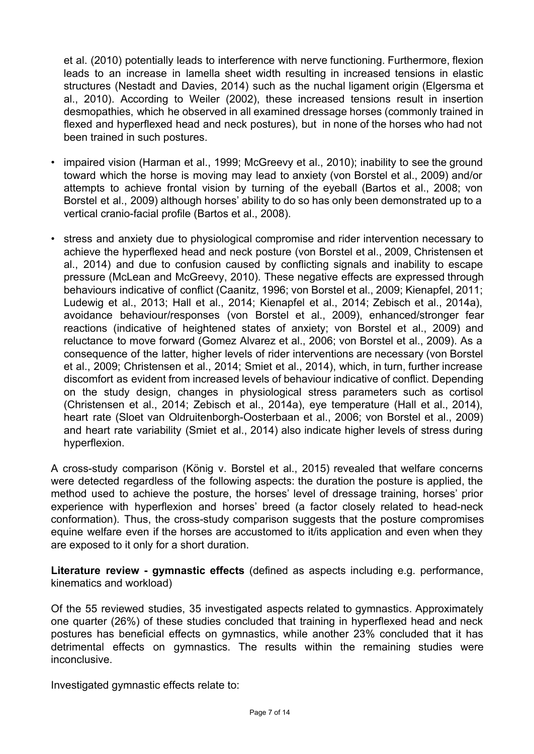et al. (2010) potentially leads to interference with nerve functioning. Furthermore, flexion leads to an increase in lamella sheet width resulting in increased tensions in elastic structures (Nestadt and Davies, 2014) such as the nuchal ligament origin (Elgersma et al., 2010). According to Weiler (2002), these increased tensions result in insertion desmopathies, which he observed in all examined dressage horses (commonly trained in flexed and hyperflexed head and neck postures), but in none of the horses who had not been trained in such postures.

- impaired vision (Harman et al., 1999; McGreevy et al., 2010); inability to see the ground toward which the horse is moving may lead to anxiety (von Borstel et al., 2009) and/or attempts to achieve frontal vision by turning of the eyeball (Bartos et al., 2008; von Borstel et al., 2009) although horses' ability to do so has only been demonstrated up to a vertical cranio-facial profile (Bartos et al., 2008).
- stress and anxiety due to physiological compromise and rider intervention necessary to achieve the hyperflexed head and neck posture (von Borstel et al., 2009, Christensen et al., 2014) and due to confusion caused by conflicting signals and inability to escape pressure (McLean and McGreevy, 2010). These negative effects are expressed through behaviours indicative of conflict (Caanitz, 1996; von Borstel et al., 2009; Kienapfel, 2011; Ludewig et al., 2013; Hall et al., 2014; Kienapfel et al., 2014; Zebisch et al., 2014a), avoidance behaviour/responses (von Borstel et al., 2009), enhanced/stronger fear reactions (indicative of heightened states of anxiety; von Borstel et al., 2009) and reluctance to move forward (Gomez Alvarez et al., 2006; von Borstel et al., 2009). As a consequence of the latter, higher levels of rider interventions are necessary (von Borstel et al., 2009; Christensen et al., 2014; Smiet et al., 2014), which, in turn, further increase discomfort as evident from increased levels of behaviour indicative of conflict. Depending on the study design, changes in physiological stress parameters such as cortisol (Christensen et al., 2014; Zebisch et al., 2014a), eye temperature (Hall et al., 2014), heart rate (Sloet van Oldruitenborgh-Oosterbaan et al., 2006; von Borstel et al., 2009) and heart rate variability (Smiet et al., 2014) also indicate higher levels of stress during hyperflexion.

A cross-study comparison (König v. Borstel et al., 2015) revealed that welfare concerns were detected regardless of the following aspects: the duration the posture is applied, the method used to achieve the posture, the horses' level of dressage training, horses' prior experience with hyperflexion and horses' breed (a factor closely related to head-neck conformation). Thus, the cross-study comparison suggests that the posture compromises equine welfare even if the horses are accustomed to it/its application and even when they are exposed to it only for a short duration.

**Literature review gymnastic effects** (defined as aspects including e.g. performance, kinematics and workload)

Of the 55 reviewed studies, 35 investigated aspects related to gymnastics. Approximately one quarter (26%) of these studies concluded that training in hyperflexed head and neck postures has beneficial effects on gymnastics, while another 23% concluded that it has detrimental effects on gymnastics. The results within the remaining studies were inconclusive.

Investigated gymnastic effects relate to: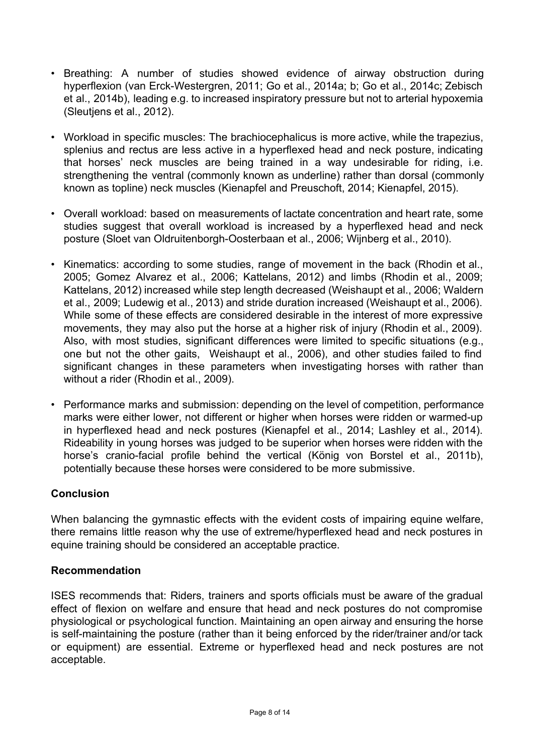- Breathing: A number of studies showed evidence of airway obstruction during hyperflexion (van Erck-Westergren, 2011; Go et al., 2014a; b; Go et al., 2014c; Zebisch et al., 2014b), leading e.g. to increased inspiratory pressure but not to arterial hypoxemia (Sleutjens et al., 2012).
- Workload in specific muscles: The brachiocephalicus is more active, while the trapezius, splenius and rectus are less active in a hyperflexed head and neck posture, indicating that horses' neck muscles are being trained in a way undesirable for riding, i.e. strengthening the ventral (commonly known as underline) rather than dorsal (commonly known as topline) neck muscles (Kienapfel and Preuschoft, 2014; Kienapfel, 2015).
- Overall workload: based on measurements of lactate concentration and heart rate, some studies suggest that overall workload is increased by a hyperflexed head and neck posture (Sloet van Oldruitenborgh-Oosterbaan et al., 2006; Wijnberg et al., 2010).
- Kinematics: according to some studies, range of movement in the back (Rhodin et al., 2005; Gomez Alvarez et al., 2006; Kattelans, 2012) and limbs (Rhodin et al., 2009; Kattelans, 2012) increased while step length decreased (Weishaupt et al., 2006; Waldern et al., 2009; Ludewig et al., 2013) and stride duration increased (Weishaupt et al., 2006). While some of these effects are considered desirable in the interest of more expressive movements, they may also put the horse at a higher risk of injury (Rhodin et al., 2009). Also, with most studies, significant differences were limited to specific situations (e.g., one but not the other gaits, Weishaupt et al., 2006), and other studies failed to find significant changes in these parameters when investigating horses with rather than without a rider (Rhodin et al., 2009).
- Performance marks and submission: depending on the level of competition, performance marks were either lower, not different or higher when horses were ridden or warmed-up in hyperflexed head and neck postures (Kienapfel et al., 2014; Lashley et al., 2014). Rideability in young horses was judged to be superior when horses were ridden with the horse's cranio-facial profile behind the vertical (König von Borstel et al., 2011b), potentially because these horses were considered to be more submissive.

## **Conclusion**

When balancing the gymnastic effects with the evident costs of impairing equine welfare, there remains little reason why the use of extreme/hyperflexed head and neck postures in equine training should be considered an acceptable practice.

#### **Recommendation**

ISES recommends that: Riders, trainers and sports officials must be aware of the gradual effect of flexion on welfare and ensure that head and neck postures do not compromise physiological or psychological function. Maintaining an open airway and ensuring the horse is self-maintaining the posture (rather than it being enforced by the rider/trainer and/or tack or equipment) are essential. Extreme or hyperflexed head and neck postures are not acceptable.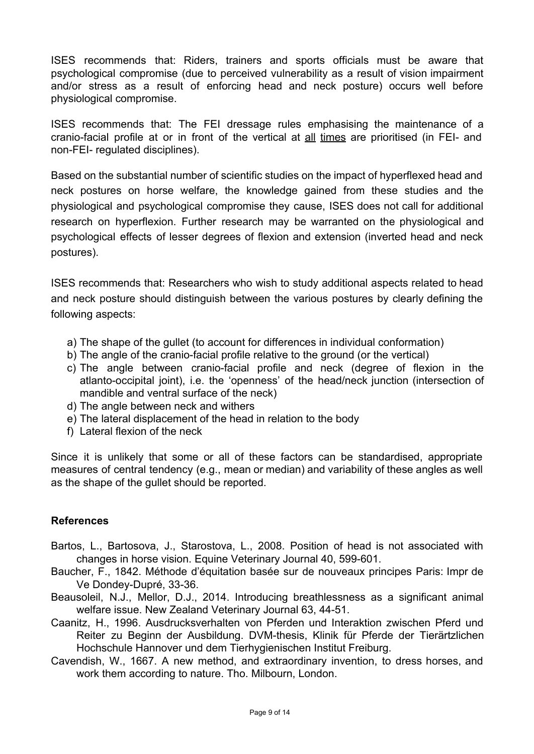ISES recommends that: Riders, trainers and sports officials must be aware that psychological compromise (due to perceived vulnerability as a result of vision impairment and/or stress as a result of enforcing head and neck posture) occurs well before physiological compromise.

ISES recommends that: The FEI dressage rules emphasising the maintenance of a cranio-facial profile at or in front of the vertical at all times are prioritised (in FEI- and non-FEI- regulated disciplines).

Based on the substantial number of scientific studies on the impact of hyperflexed head and neck postures on horse welfare, the knowledge gained from these studies and the physiological and psychological compromise they cause, ISES does not call for additional research on hyperflexion. Further research may be warranted on the physiological and psychological effects of lesser degrees of flexion and extension (inverted head and neck postures).

ISES recommends that: Researchers who wish to study additional aspects related to head and neck posture should distinguish between the various postures by clearly defining the following aspects:

- a) The shape of the gullet (to account for differences in individual conformation)
- b) The angle of the cranio-facial profile relative to the ground (or the vertical)
- c) The angle between cranio-facial profile and neck (degree of flexion in the atlanto-occipital joint), i.e. the 'openness' of the head/neck junction (intersection of mandible and ventral surface of the neck)
- d) The angle between neck and withers
- e) The lateral displacement of the head in relation to the body
- f) Lateral flexion of the neck

Since it is unlikely that some or all of these factors can be standardised, appropriate measures of central tendency (e.g., mean or median) and variability of these angles as well as the shape of the gullet should be reported.

#### **References**

- Bartos, L., Bartosova, J., Starostova, L., 2008. Position of head is not associated with changes in horse vision. Equine Veterinary Journal 40, 599-601.
- Baucher, F., 1842. Méthode d'équitation basée sur de nouveaux principes Paris: Impr de Ve Dondey-Dupré, 33-36.
- Beausoleil, N.J., Mellor, D.J., 2014. Introducing breathlessness as a significant animal welfare issue. New Zealand Veterinary Journal 63, 44-51.
- Caanitz, H., 1996. Ausdrucksverhalten von Pferden und Interaktion zwischen Pferd und Reiter zu Beginn der Ausbildung. DVM-thesis, Klinik für Pferde der Tierärtzlichen Hochschule Hannover und dem Tierhygienischen Institut Freiburg.
- Cavendish, W., 1667. A new method, and extraordinary invention, to dress horses, and work them according to nature. Tho. Milbourn, London.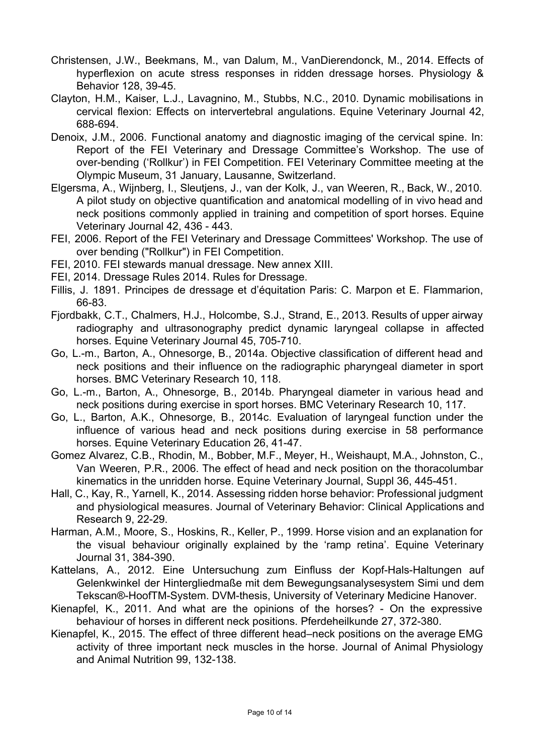- Christensen, J.W., Beekmans, M., van Dalum, M., VanDierendonck, M., 2014. Effects of hyperflexion on acute stress responses in ridden dressage horses. Physiology & Behavior 128, 39-45.
- Clayton, H.M., Kaiser, L.J., Lavagnino, M., Stubbs, N.C., 2010. Dynamic mobilisations in cervical flexion: Effects on intervertebral angulations. Equine Veterinary Journal 42, 688694.
- Denoix, J.M., 2006. Functional anatomy and diagnostic imaging of the cervical spine. In: Report of the FEI Veterinary and Dressage Committee's Workshop. The use of over-bending ('Rollkur') in FEI Competition. FEI Veterinary Committee meeting at the Olympic Museum, 31 January, Lausanne, Switzerland.
- Elgersma, A., Wijnberg, I., Sleutjens, J., van der Kolk, J., van Weeren, R., Back, W., 2010. A pilot study on objective quantification and anatomical modelling of in vivo head and neck positions commonly applied in training and competition of sport horses. Equine Veterinary Journal 42, 436 - 443.
- FEI, 2006. Report of the FEI Veterinary and Dressage Committees' Workshop. The use of over bending ("Rollkur") in FEI Competition.
- FEI, 2010. FEI stewards manual dressage. New annex XIII.
- FEI, 2014. Dressage Rules 2014. Rules for Dressage.
- Fillis, J. 1891. Principes de dressage et d'équitation Paris: C. Marpon et E. Flammarion, 66-83.
- Fjordbakk, C.T., Chalmers, H.J., Holcombe, S.J., Strand, E., 2013. Results of upper airway radiography and ultrasonography predict dynamic laryngeal collapse in affected horses. Equine Veterinary Journal 45, 705-710.
- Go, L.m., Barton, A., Ohnesorge, B., 2014a. Objective classification of different head and neck positions and their influence on the radiographic pharyngeal diameter in sport horses. BMC Veterinary Research 10, 118.
- Go, L.m., Barton, A., Ohnesorge, B., 2014b. Pharyngeal diameter in various head and neck positions during exercise in sport horses. BMC Veterinary Research 10, 117.
- Go, L., Barton, A.K., Ohnesorge, B., 2014c. Evaluation of laryngeal function under the influence of various head and neck positions during exercise in 58 performance horses. Equine Veterinary Education 26, 41-47.
- Gomez Alvarez, C.B., Rhodin, M., Bobber, M.F., Meyer, H., Weishaupt, M.A., Johnston, C., Van Weeren, P.R., 2006. The effect of head and neck position on the thoracolumbar kinematics in the unridden horse. Equine Veterinary Journal, Suppl 36, 445-451.
- Hall, C., Kay, R., Yarnell, K., 2014. Assessing ridden horse behavior: Professional judgment and physiological measures. Journal of Veterinary Behavior: Clinical Applications and Research 9, 22-29.
- Harman, A.M., Moore, S., Hoskins, R., Keller, P., 1999. Horse vision and an explanation for the visual behaviour originally explained by the 'ramp retina'. Equine Veterinary Journal 31, 384-390.
- Kattelans, A., 2012. Eine Untersuchung zum Einfluss der Kopf-Hals-Haltungen auf Gelenkwinkel der Hintergliedmaße mit dem Bewegungsanalysesystem Simi und dem Tekscan®-HoofTM-System. DVM-thesis, University of Veterinary Medicine Hanover.
- Kienapfel, K., 2011. And what are the opinions of the horses? On the expressive behaviour of horses in different neck positions. Pferdeheilkunde 27, 372-380.
- Kienapfel, K., 2015. The effect of three different head–neck positions on the average EMG activity of three important neck muscles in the horse. Journal of Animal Physiology and Animal Nutrition 99, 132-138.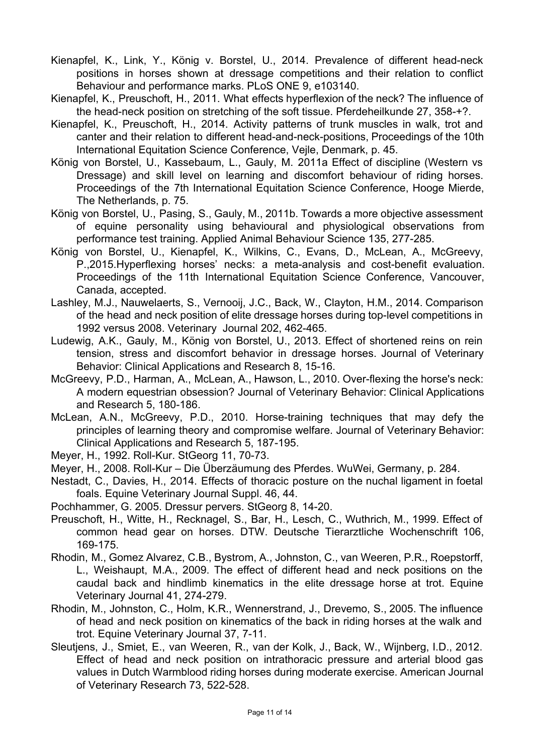- Kienapfel, K., Link, Y., König v. Borstel, U., 2014. Prevalence of different head-neck positions in horses shown at dressage competitions and their relation to conflict Behaviour and performance marks. PLoS ONE 9, e103140.
- Kienapfel, K., Preuschoft, H., 2011. What effects hyperflexion of the neck? The influence of the head-neck position on stretching of the soft tissue. Pferdeheilkunde 27, 358-+?.
- Kienapfel, K., Preuschoft, H., 2014. Activity patterns of trunk muscles in walk, trot and canter and their relation to different head-and-neck-positions, Proceedings of the 10th International Equitation Science Conference, Vejle, Denmark, p. 45.
- König von Borstel, U., Kassebaum, L., Gauly, M. 2011a Effect of discipline (Western vs Dressage) and skill level on learning and discomfort behaviour of riding horses. Proceedings of the 7th International Equitation Science Conference, Hooge Mierde, The Netherlands, p. 75.
- König von Borstel, U., Pasing, S., Gauly, M., 2011b. Towards a more objective assessment of equine personality using behavioural and physiological observations from performance test training. Applied Animal Behaviour Science 135, 277-285.
- König von Borstel, U., Kienapfel, K., Wilkins, C., Evans, D., McLean, A., McGreevy, P., 2015. Hyperflexing horses' necks: a meta-analysis and cost-benefit evaluation. Proceedings of the 11th International Equitation Science Conference, Vancouver, Canada, accepted.
- Lashley, M.J., Nauwelaerts, S., Vernooij, J.C., Back, W., Clayton, H.M., 2014. Comparison of the head and neck position of elite dressage horses during top-level competitions in 1992 versus 2008. Veterinary Journal 202, 462465.
- Ludewig, A.K., Gauly, M., König von Borstel, U., 2013. Effect of shortened reins on rein tension, stress and discomfort behavior in dressage horses. Journal of Veterinary Behavior: Clinical Applications and Research 8, 15-16.
- McGreevy, P.D., Harman, A., McLean, A., Hawson, L., 2010. Over-flexing the horse's neck: A modern equestrian obsession? Journal of Veterinary Behavior: Clinical Applications and Research 5, 180-186.
- McLean, A.N., McGreevy, P.D., 2010. Horse-training techniques that may defy the principles of learning theory and compromise welfare. Journal of Veterinary Behavior: Clinical Applications and Research 5, 187-195.
- Meyer, H., 1992. Roll-Kur. StGeorg 11, 70-73.
- Meyer, H., 2008. Roll-Kur Die Überzäumung des Pferdes. WuWei, Germany, p. 284.
- Nestadt, C., Davies, H., 2014. Effects of thoracic posture on the nuchal ligament in foetal foals. Equine Veterinary Journal Suppl. 46, 44.
- Pochhammer, G. 2005. Dressur pervers. StGeorg 8, 14-20.
- Preuschoft, H., Witte, H., Recknagel, S., Bar, H., Lesch, C., Wuthrich, M., 1999. Effect of common head gear on horses. DTW. Deutsche Tierarztliche Wochenschrift 106, 169-175.
- Rhodin, M., Gomez Alvarez, C.B., Bystrom, A., Johnston, C., van Weeren, P.R., Roepstorff, L., Weishaupt, M.A., 2009. The effect of different head and neck positions on the caudal back and hindlimb kinematics in the elite dressage horse at trot. Equine Veterinary Journal 41, 274-279.
- Rhodin, M., Johnston, C., Holm, K.R., Wennerstrand, J., Drevemo, S., 2005. The influence of head and neck position on kinematics of the back in riding horses at the walk and trot. Equine Veterinary Journal 37, 7-11.
- Sleutjens, J., Smiet, E., van Weeren, R., van der Kolk, J., Back, W., Wijnberg, I.D., 2012. Effect of head and neck position on intrathoracic pressure and arterial blood gas values in Dutch Warmblood riding horses during moderate exercise. American Journal of Veterinary Research 73, 522-528.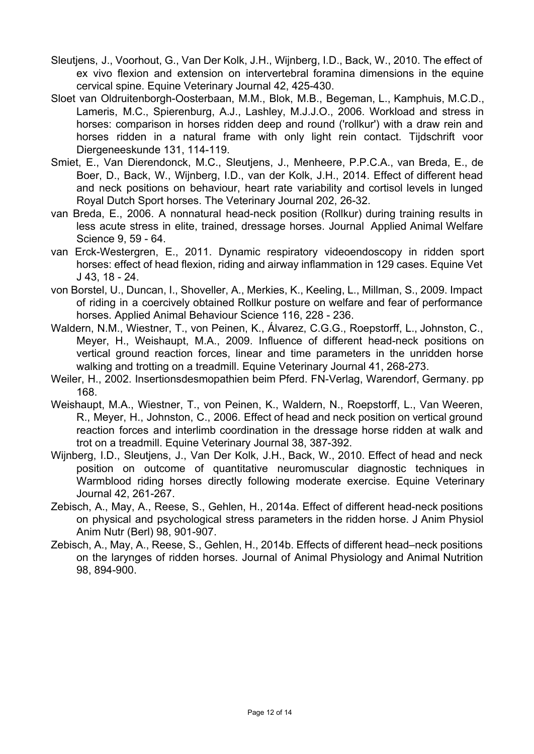- Sleutjens, J., Voorhout, G., Van Der Kolk, J.H., Wijnberg, I.D., Back, W., 2010. The effect of ex vivo flexion and extension on intervertebral foramina dimensions in the equine cervical spine. Equine Veterinary Journal 42, 425-430.
- Sloet van Oldruitenborgh-Oosterbaan, M.M., Blok, M.B., Begeman, L., Kamphuis, M.C.D., Lameris, M.C., Spierenburg, A.J., Lashley, M.J.J.O., 2006. Workload and stress in horses: comparison in horses ridden deep and round ('rollkur') with a draw rein and horses ridden in a natural frame with only light rein contact. Tijdschrift voor Diergeneeskunde 131, 114-119.
- Smiet, E., Van Dierendonck, M.C., Sleutjens, J., Menheere, P.P.C.A., van Breda, E., de Boer, D., Back, W., Wijnberg, I.D., van der Kolk, J.H., 2014. Effect of different head and neck positions on behaviour, heart rate variability and cortisol levels in lunged Royal Dutch Sport horses. The Veterinary Journal 202, 26-32.
- van Breda, E., 2006. A nonnatural head-neck position (Rollkur) during training results in less acute stress in elite, trained, dressage horses. Journal Applied Animal Welfare Science 9, 59 - 64.
- van Erck-Westergren, E., 2011. Dynamic respiratory videoendoscopy in ridden sport horses: effect of head flexion, riding and airway inflammation in 129 cases. Equine Vet J 43, 18 24.
- von Borstel, U., Duncan, I., Shoveller, A., Merkies, K., Keeling, L., Millman, S., 2009. Impact of riding in a coercively obtained Rollkur posture on welfare and fear of performance horses. Applied Animal Behaviour Science 116, 228 - 236.
- Waldern, N.M., Wiestner, T., von Peinen, K., Álvarez, C.G.G., Roepstorff, L., Johnston, C., Meyer, H., Weishaupt, M.A., 2009. Influence of different head-neck positions on vertical ground reaction forces, linear and time parameters in the unridden horse walking and trotting on a treadmill. Equine Veterinary Journal 41, 268-273.
- Weiler, H., 2002. Insertionsdesmopathien beim Pferd. FN-Verlag, Warendorf, Germany. pp 168.
- Weishaupt, M.A., Wiestner, T., von Peinen, K., Waldern, N., Roepstorff, L., Van Weeren, R., Meyer, H., Johnston, C., 2006. Effect of head and neck position on vertical ground reaction forces and interlimb coordination in the dressage horse ridden at walk and trot on a treadmill. Equine Veterinary Journal 38, 387-392.
- Wijnberg, I.D., Sleutjens, J., Van Der Kolk, J.H., Back, W., 2010. Effect of head and neck position on outcome of quantitative neuromuscular diagnostic techniques in Warmblood riding horses directly following moderate exercise. Equine Veterinary Journal 42, 261-267.
- Zebisch, A., May, A., Reese, S., Gehlen, H., 2014a. Effect of different head-neck positions on physical and psychological stress parameters in the ridden horse. J Anim Physiol Anim Nutr (Berl) 98, 901-907.
- Zebisch, A., May, A., Reese, S., Gehlen, H., 2014b. Effects of different head–neck positions on the larynges of ridden horses. Journal of Animal Physiology and Animal Nutrition 98, 894-900.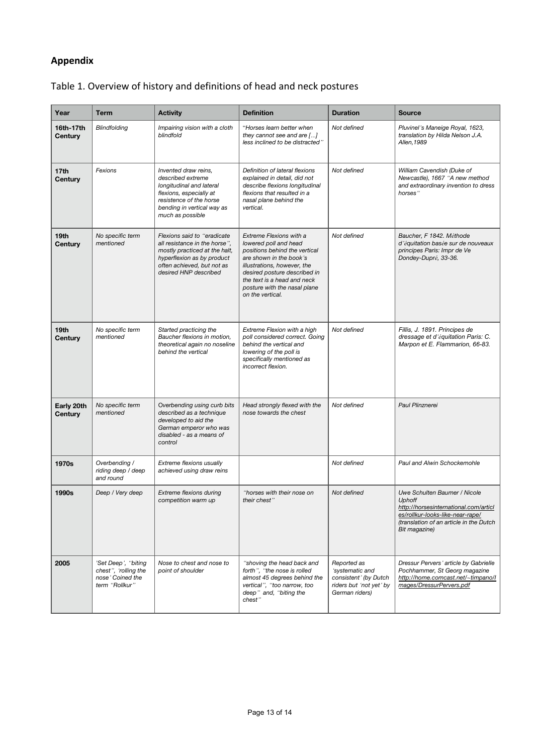### **Appendix**

| Year                        | <b>Term</b>                                                                       | <b>Activity</b>                                                                                                                                                                     | <b>Definition</b>                                                                                                                                                                                                                                              | <b>Duration</b>                                                                                      | <b>Source</b>                                                                                                                                                                          |
|-----------------------------|-----------------------------------------------------------------------------------|-------------------------------------------------------------------------------------------------------------------------------------------------------------------------------------|----------------------------------------------------------------------------------------------------------------------------------------------------------------------------------------------------------------------------------------------------------------|------------------------------------------------------------------------------------------------------|----------------------------------------------------------------------------------------------------------------------------------------------------------------------------------------|
| 16th-17th<br>Century        | Blindfolding                                                                      | Impairing vision with a cloth<br>blindfold                                                                                                                                          | "Horses learn better when<br>they cannot see and are $[]$<br>less inclined to be distracted"                                                                                                                                                                   | Not defined                                                                                          | Pluvinel's Maneige Royal, 1623,<br>translation by Hilda Nelson J.A.<br>Allen, 1989                                                                                                     |
| 17 <sub>th</sub><br>Century | Fexions                                                                           | Invented draw reins,<br>described extreme<br>longitudinal and lateral<br>flexions, especially at<br>resistence of the horse<br>bending in vertical way as<br>much as possible       | Definition of lateral flexions<br>explained in detail, did not<br>describe flexions longitudinal<br>flexions that resulted in a<br>nasal plane behind the<br>vertical.                                                                                         | Not defined                                                                                          | William Cavendish (Duke of<br>Newcastle), 1667 "A new method<br>and extraordinary invention to dress<br>horses"                                                                        |
| 19th<br>Century             | No specific term<br>mentioned                                                     | Flexions said to "eradicate"<br>all resistance in the horse".<br>mostly practiced at the halt,<br>hyperflexion as by product<br>often achieved, but not as<br>desired HNP described | Extreme Flexions with a<br>lowered poll and head<br>positions behind the vertical<br>are shown in the book's<br>illustrations, however, the<br>desired posture described in<br>the text is a head and neck<br>posture with the nasal plane<br>on the vertical. | Not defined                                                                                          | Baucher, F 1842. Méthode<br>d'équitation basée sur de nouveaux<br>principes Paris: Impr de Ve<br>Dondey-Dupré, 33-36.                                                                  |
| 19th<br>Century             | No specific term<br>mentioned                                                     | Started practicing the<br>Baucher flexions in motion,<br>theoretical again no noseline<br>behind the vertical                                                                       | Extreme Flexion with a high<br>poll considered correct. Going<br>behind the vertical and<br>lowering of the poll is<br>specifically mentioned as<br>incorrect flexion.                                                                                         | Not defined                                                                                          | Fillis, J. 1891. Principes de<br>dressage et d'équitation Paris: C.<br>Marpon et E. Flammarion, 66-83.                                                                                 |
| Early 20th<br>Century       | No specific term<br>mentioned                                                     | Overbending using curb bits<br>described as a technique<br>developed to aid the<br>German emperor who was<br>disabled - as a means of<br>control                                    | Head strongly flexed with the<br>nose towards the chest                                                                                                                                                                                                        | Not defined                                                                                          | Paul Plinznerei                                                                                                                                                                        |
| 1970s                       | Overbending /<br>riding deep / deep<br>and round                                  | Extreme flexions usually<br>achieved using draw reins                                                                                                                               |                                                                                                                                                                                                                                                                | Not defined                                                                                          | Paul and Alwin Schockemohle                                                                                                                                                            |
| 1990s                       | Deep / Very deep                                                                  | Extreme flexions during<br>competition warm up                                                                                                                                      | "horses with their nose on<br>their chest"                                                                                                                                                                                                                     | Not defined                                                                                          | Uwe Schulten Baumer / Nicole<br><b>Uphoff</b><br>http://horsesinternational.com/articl<br>es/rollkur-looks-like-near-rape/<br>(translation of an article in the Dutch<br>Bit magazine) |
| 2005                        | 'Set Deep', "biting<br>chest", 'rolling the<br>nose' Coined the<br>term "Rollkur" | Nose to chest and nose to<br>point of shoulder                                                                                                                                      | "shoving the head back and<br>forth", "the nose is rolled<br>almost 45 degrees behind the<br>vertical", "too narrow, too<br>deep" and, "biting the<br>chest"                                                                                                   | Reported as<br>'systematic and<br>consistent' (by Dutch<br>riders but 'not yet' by<br>German riders) | Dressur Pervers' article by Gabrielle<br>Pochhammer, St Georg magazine<br>http://home.comcast.net/~timpano/l<br>mages/DressurPervers.pdf                                               |